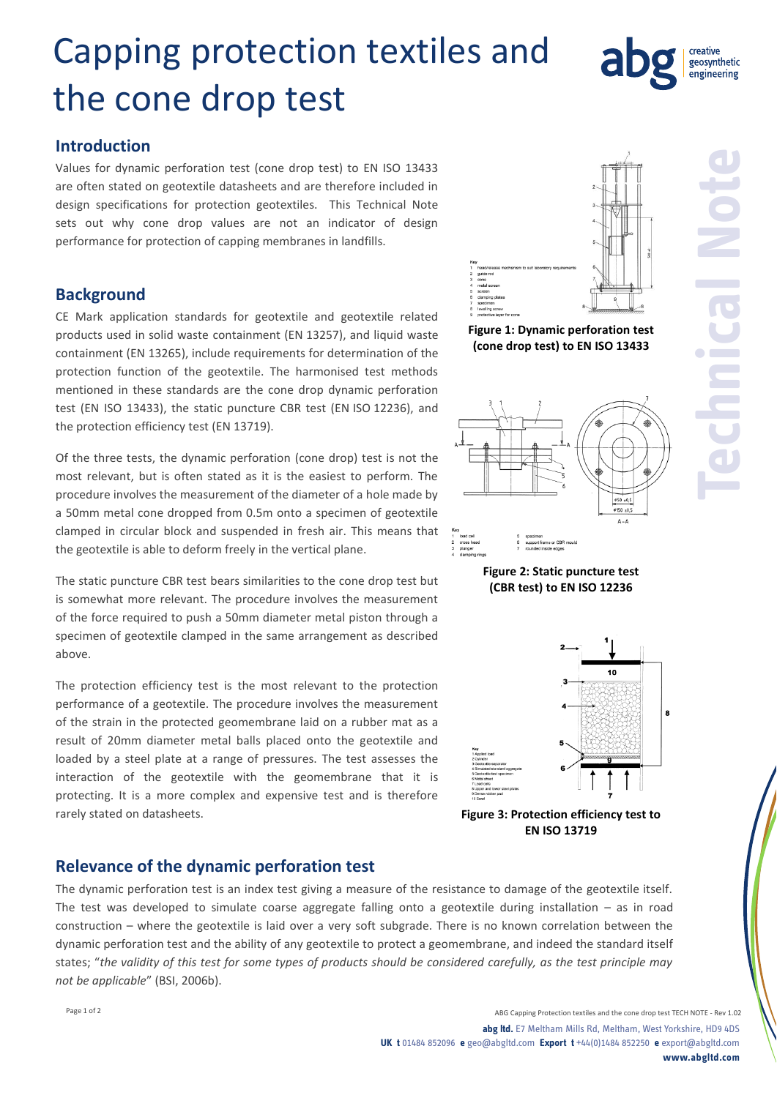# Capping protection textiles and the cone drop test

## **Introduction**

Values for dynamic perforation test (cone drop test) to EN ISO 13433 are often stated on geotextile datasheets and are therefore included in design specifications for protection geotextiles. This Technical Note sets out why cone drop values are not an indicator of design performance for protection of capping membranes in landfills.

### **Background**

CE Mark application standards for geotextile and geotextile related products used in solid waste containment (EN 13257), and liquid waste containment (EN 13265), include requirements for determination of the protection function of the geotextile. The harmonised test methods mentioned in these standards are the cone drop dynamic perforation test (EN ISO 13433), the static puncture CBR test (EN ISO 12236), and the protection efficiency test (EN 13719).

Of the three tests, the dynamic perforation (cone drop) test is not the most relevant, but is often stated as it is the easiest to perform. The procedure involves the measurement of the diameter of a hole made by a 50mm metal cone dropped from 0.5m onto a specimen of geotextile clamped in circular block and suspended in fresh air. This means that the geotextile is able to deform freely in the vertical plane.

The static puncture CBR test bears similarities to the cone drop test but is somewhat more relevant. The procedure involves the measurement of the force required to push a 50mm diameter metal piston through a specimen of geotextile clamped in the same arrangement as described above.

The protection efficiency test is the most relevant to the protection performance of a geotextile. The procedure involves the measurement of the strain in the protected geomembrane laid on a rubber mat as a result of 20mm diameter metal balls placed onto the geotextile and loaded by a steel plate at a range of pressures. The test assesses the interaction of the geotextile with the geomembrane that it is protecting. It is a more complex and expensive test and is therefore rarely stated on datasheets.

# **Relevance of the dynamic perforation test**

The dynamic perforation test is an index test giving a measure of the resistance to damage of the geotextile itself. The test was developed to simulate coarse aggregate falling onto a geotextile during installation – as in road construction – where the geotextile is laid over a very soft subgrade. There is no known correlation between the dynamic perforation test and the ability of any geotextile to protect a geomembrane, and indeed the standard itself states; "*the validity of this test for some types of products should be considered carefully, as the test principle may not be applicable*" (BSI, 2006b).





**Figure 1: Dynamic perforation test (cone drop test) to EN ISO 13433**



**Figure 2: Static puncture test (CBR test) to EN ISO 12236**



**Figure 3: Protection efficiency test to EN ISO 13719**